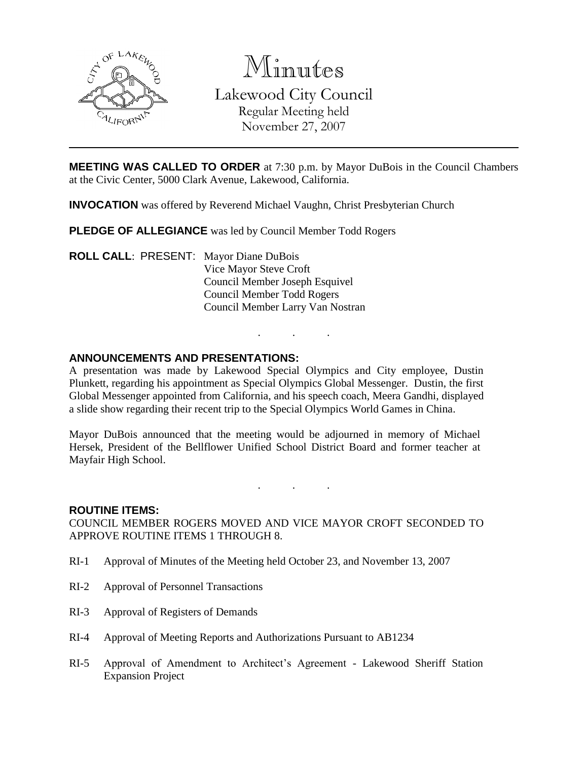

Minutes Lakewood City Council Regular Meeting held November 27, 2007

**MEETING WAS CALLED TO ORDER** at 7:30 p.m. by Mayor DuBois in the Council Chambers at the Civic Center, 5000 Clark Avenue, Lakewood, California.

**INVOCATION** was offered by Reverend Michael Vaughn, Christ Presbyterian Church

**PLEDGE OF ALLEGIANCE** was led by Council Member Todd Rogers

**ROLL CALL**: PRESENT: Mayor Diane DuBois Vice Mayor Steve Croft Council Member Joseph Esquivel Council Member Todd Rogers Council Member Larry Van Nostran

## **ANNOUNCEMENTS AND PRESENTATIONS:**

A presentation was made by Lakewood Special Olympics and City employee, Dustin Plunkett, regarding his appointment as Special Olympics Global Messenger. Dustin, the first Global Messenger appointed from California, and his speech coach, Meera Gandhi, displayed a slide show regarding their recent trip to the Special Olympics World Games in China.

. . .

Mayor DuBois announced that the meeting would be adjourned in memory of Michael Hersek, President of the Bellflower Unified School District Board and former teacher at Mayfair High School.

. . .

#### **ROUTINE ITEMS:**

COUNCIL MEMBER ROGERS MOVED AND VICE MAYOR CROFT SECONDED TO APPROVE ROUTINE ITEMS 1 THROUGH 8.

- RI-1 Approval of Minutes of the Meeting held October 23, and November 13, 2007
- RI-2 Approval of Personnel Transactions
- RI-3 Approval of Registers of Demands
- RI-4 Approval of Meeting Reports and Authorizations Pursuant to AB1234
- RI-5 Approval of Amendment to Architect's Agreement Lakewood Sheriff Station Expansion Project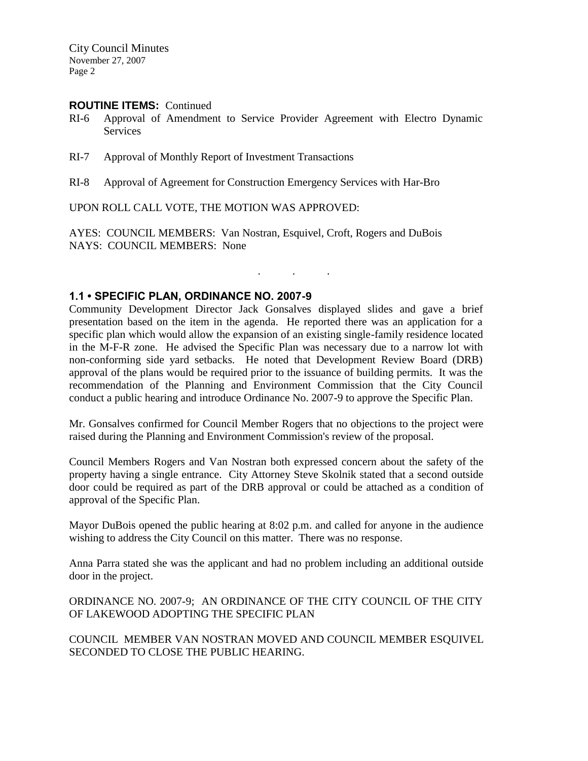City Council Minutes November 27, 2007 Page 2

#### **ROUTINE ITEMS:** Continued

- RI-6 Approval of Amendment to Service Provider Agreement with Electro Dynamic Services
- RI-7 Approval of Monthly Report of Investment Transactions
- RI-8 Approval of Agreement for Construction Emergency Services with Har-Bro

UPON ROLL CALL VOTE, THE MOTION WAS APPROVED:

AYES: COUNCIL MEMBERS: Van Nostran, Esquivel, Croft, Rogers and DuBois NAYS: COUNCIL MEMBERS: None

## **1.1 • SPECIFIC PLAN, ORDINANCE NO. 2007-9**

Community Development Director Jack Gonsalves displayed slides and gave a brief presentation based on the item in the agenda. He reported there was an application for a specific plan which would allow the expansion of an existing single-family residence located in the M-F-R zone. He advised the Specific Plan was necessary due to a narrow lot with non-conforming side yard setbacks. He noted that Development Review Board (DRB) approval of the plans would be required prior to the issuance of building permits. It was the recommendation of the Planning and Environment Commission that the City Council conduct a public hearing and introduce Ordinance No. 2007-9 to approve the Specific Plan.

. . .

Mr. Gonsalves confirmed for Council Member Rogers that no objections to the project were raised during the Planning and Environment Commission's review of the proposal.

Council Members Rogers and Van Nostran both expressed concern about the safety of the property having a single entrance. City Attorney Steve Skolnik stated that a second outside door could be required as part of the DRB approval or could be attached as a condition of approval of the Specific Plan.

Mayor DuBois opened the public hearing at 8:02 p.m. and called for anyone in the audience wishing to address the City Council on this matter. There was no response.

Anna Parra stated she was the applicant and had no problem including an additional outside door in the project.

ORDINANCE NO. 2007-9; AN ORDINANCE OF THE CITY COUNCIL OF THE CITY OF LAKEWOOD ADOPTING THE SPECIFIC PLAN

COUNCIL MEMBER VAN NOSTRAN MOVED AND COUNCIL MEMBER ESQUIVEL SECONDED TO CLOSE THE PUBLIC HEARING.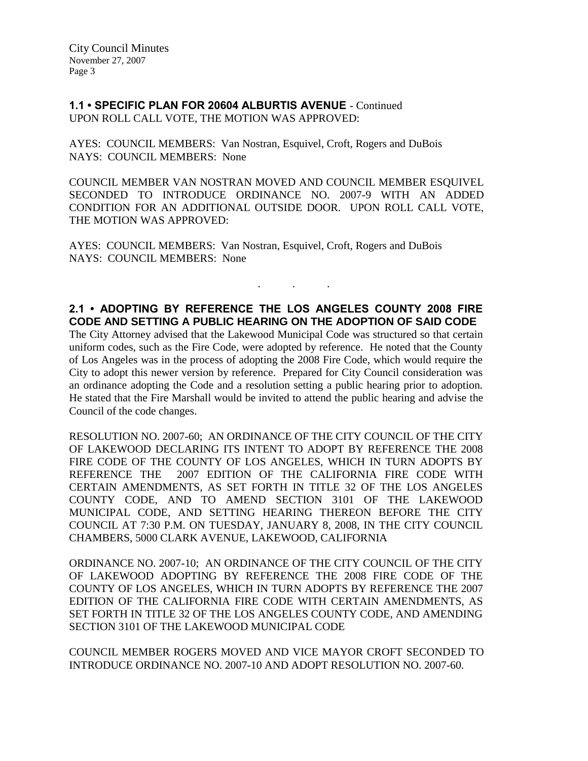**1.1 • SPECIFIC PLAN FOR 20604 ALBURTIS AVENUE** - Continued UPON ROLL CALL VOTE, THE MOTION WAS APPROVED:

AYES: COUNCIL MEMBERS: Van Nostran, Esquivel, Croft, Rogers and DuBois NAYS: COUNCIL MEMBERS: None

COUNCIL MEMBER VAN NOSTRAN MOVED AND COUNCIL MEMBER ESQUIVEL SECONDED TO INTRODUCE ORDINANCE NO. 2007-9 WITH AN ADDED CONDITION FOR AN ADDITIONAL OUTSIDE DOOR. UPON ROLL CALL VOTE, THE MOTION WAS APPROVED:

AYES: COUNCIL MEMBERS: Van Nostran, Esquivel, Croft, Rogers and DuBois NAYS: COUNCIL MEMBERS: None

# **2.1 • ADOPTING BY REFERENCE THE LOS ANGELES COUNTY 2008 FIRE CODE AND SETTING A PUBLIC HEARING ON THE ADOPTION OF SAID CODE**

. . .

The City Attorney advised that the Lakewood Municipal Code was structured so that certain uniform codes, such as the Fire Code, were adopted by reference. He noted that the County of Los Angeles was in the process of adopting the 2008 Fire Code, which would require the City to adopt this newer version by reference. Prepared for City Council consideration was an ordinance adopting the Code and a resolution setting a public hearing prior to adoption. He stated that the Fire Marshall would be invited to attend the public hearing and advise the Council of the code changes.

RESOLUTION NO. 2007-60; AN ORDINANCE OF THE CITY COUNCIL OF THE CITY OF LAKEWOOD DECLARING ITS INTENT TO ADOPT BY REFERENCE THE 2008 FIRE CODE OF THE COUNTY OF LOS ANGELES, WHICH IN TURN ADOPTS BY REFERENCE THE 2007 EDITION OF THE CALIFORNIA FIRE CODE WITH CERTAIN AMENDMENTS, AS SET FORTH IN TITLE 32 OF THE LOS ANGELES COUNTY CODE, AND TO AMEND SECTION 3101 OF THE LAKEWOOD MUNICIPAL CODE, AND SETTING HEARING THEREON BEFORE THE CITY COUNCIL AT 7:30 P.M. ON TUESDAY, JANUARY 8, 2008, IN THE CITY COUNCIL CHAMBERS, 5000 CLARK AVENUE, LAKEWOOD, CALIFORNIA

ORDINANCE NO. 2007-10; AN ORDINANCE OF THE CITY COUNCIL OF THE CITY OF LAKEWOOD ADOPTING BY REFERENCE THE 2008 FIRE CODE OF THE COUNTY OF LOS ANGELES, WHICH IN TURN ADOPTS BY REFERENCE THE 2007 EDITION OF THE CALIFORNIA FIRE CODE WITH CERTAIN AMENDMENTS, AS SET FORTH IN TITLE 32 OF THE LOS ANGELES COUNTY CODE, AND AMENDING SECTION 3101 OF THE LAKEWOOD MUNICIPAL CODE

COUNCIL MEMBER ROGERS MOVED AND VICE MAYOR CROFT SECONDED TO INTRODUCE ORDINANCE NO. 2007-10 AND ADOPT RESOLUTION NO. 2007-60.